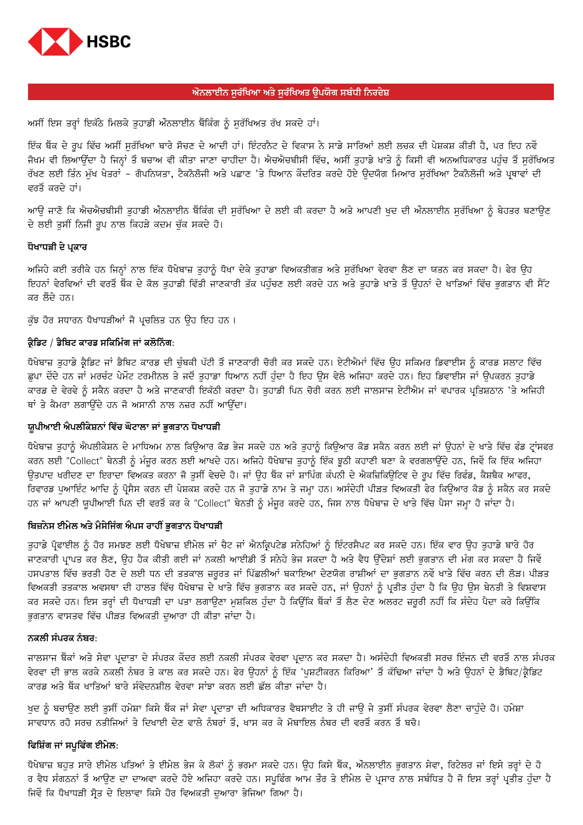

## ਔਨਲਾਈਨ ਸਰੱਖਿਆ ਅਤੇ ਸਰੱਖਿਅਤ ੳਪਯੋਗ ਸਬੰਧੀ ਨਿਰਦੇਸ਼

ਅਸੀਂ ਇਸ ਤਰ੍ਹਾਂ ਇਕੱਠੇ ਮਿਲਕੇ ਤੁਹਾਡੀ ਔਨਲਾਈਨ ਬੈਂਕਿੰਗ ਨੂੰ ਸੁਰੱਖਿਅਤ ਰੱਖ ਸਕਦੇ ਹਾਂ।

ਇੱਕ ਬੈਂਕ ਦੇ ਰਪ ਵਿੱਚ ਅਸੀਂ ਸਰੱਖਿਆ ਬਾਰੇ ਸੋਚਣ ਦੇ ਆਦੀ ਹਾਂ। ਇੰਟਰਨੈਟ ਦੇ ਵਿਕਾਸ ਨੇ ਸਾਡੇ ਸਾਰਿਆਂ ਲਈ ਲਚਕ ਦੀ ਪੇਸ਼ਕਸ਼ ਕੀਤੀ ਹੈ, ਪਰ ਇਹ ਨਵੇਂ ਜੋਖਮ ਵੀ ਲਿਆਉਂਦਾ ਹੈ ਜਿਨ੍ਹਾਂ ਤੋਂ ਬਚਾਅ ਵੀ ਕੀਤਾ ਜਾਣਾ ਚਾਹੀਦਾ ਹੈ। ਐਚਐਚਬੀਸੀ ਵਿੱਚ, ਅਸੀਂ ਤਹਾਡੇ ਖਾਤੇ ਨੂੰ ਕਿਸੀ ਵੀ ਅਨਅਧਿਕਾਰਤ ਪਹੰਚ ਤੋਂ ਸਰੱਖਿਅਤ ਰੱਖਣ ਲਈ ਤਿੰਨ ਮੁੱਖ ਖੇਤਰਾਂ – ਗੋਪਨਿਯਤਾ, ਟੈਕਨੋਲੋਜੀ ਅਤੇ ਪਛਾਣ 'ਤੇ ਧਿਆਨ ਕੇਂਦਰਿਤ ਕਰਦੇ ਹੋਏ ਉਦਯੋਗ ਮਿਆਰ ਸੁਰੱਖਿਆ ਟੈਕਨੋਲੋਜੀ ਅਤੇ ਪ੍ਰਥਾਵਾਂ ਦੀ ਵਰਤੋਂ ਕਰਦੇ ਹਾਂ।

ਆੳ ਜਾਣੋ ਕਿ ਐਚਐਚਬੀਸੀ ਤਹਾਡੀ ਔਨਲਾਈਨ ਬੈਂਕਿੰਗ ਦੀ ਸਰੱਖਿਆ ਦੇ ਲਈ ਕੀ ਕਰਦਾ ਹੈ ਅਤੇ ਆਪਣੀ ਖਦ ਦੀ ਔਨਲਾਈਨ ਸਰੱਖਿਆ ਨੂੰ ਬੇਹਤਰ ਬਣਾੳਣ ਦੇ ਲਈ ਤੁਸੀਂ ਨਿਜੀ ਰੂਪ ਨਾਲ ਕਿਹੜੇ ਕਦਮ ਚੁੱਕ ਸਕਦੇ ਹੋ।

## ਧੋਖਾਧੜੀ ਦੇ ਪ੍ਰਕਾਰ

ਅਜਿਹੇ ਕਈ ਤਰੀਕੇ ਹਨ ਜਿਨ੍ਹਾਂ ਨਾਲ ਇੱਕ ਧੋਖੇਬਾਜ਼ ਤੁਹਾਨੂੰ ਧੋਖਾ ਦੇਕੇ ਤੁਹਾਡਾ ਵਿਅਕਤੀਗਤ ਅਤੇ ਸੁਰੱਖਿਆ ਵੇਰਵਾ ਲੈਣ ਦਾ ਯਤਨ ਕਰ ਸਕਦਾ ਹੈ। ਫੇਰ ਉਹ ਇਹਨਾਂ ਵੇਰਵਿਆਂ ਦੀ ਵਰਤੋਂ ਬੈਂਕ ਦੇ ਕੋਲ ਤਹਾਡੀ ਵਿੱਤੀ ਜਾਣਕਾਰੀ ਤੱਕ ਪਹੰਚਣ ਲਈ ਕਰਦੇ ਹਨ ਅਤੇ ਤਹਾਡੇ ਖਾਤੇ ਤੋਂ ਉਹਨਾਂ ਦੇ ਖਾਤਿਆਂ ਵਿੱਚ ਭਗਤਾਨ ਵੀ ਸੈੱਟ ਕਰ ਲੈਂਦੇ ਹਨ।

ਕੁੱਝ ਹੋਰ ਸਧਾਰਨ ਧੋਖਾਧੜੀਆਂ ਜੋ ਪ੍ਰਚਲਿਤ ਹਨ ਉਹ ਇਹ ਹਨ ।

#### ਕੈਡਿਟ / ਡੈਬਿਟ ਕਾਰਡ ਸਕਿਮਿੰਗ ਜਾਂ ਕਲੋਨਿੰਗ:

ਧੋਖੇਬਾਜ਼ ਤਹਾਡੇ ਕ੍ਰੈਡਿਟ ਜਾਂ ਡੈਬਿਟ ਕਾਰਡ ਦੀ ਚੰਬਕੀ ਪੱਟੀ ਤੋਂ ਜਾਣਕਾਰੀ ਚੋਰੀ ਕਰ ਸਕਦੇ ਹਨ। ਏਟੀਐਮਾਂ ਵਿੱਚ ੳਹ ਸਕਿਮਰ ਡਿਵਾਈਸ ਨੂੰ ਕਾਰਡ ਸਲਾਟ ਵਿੱਚ ਛੁਪਾ ਦੇਂਦੇ ਹਨ ਜਾਂ ਮਰਚੰਟ ਪੇਮੇਂਟ ਟਰਮੀਨਲ ਤੇ ਜਦੋਂ ਤੁਹਾਡਾ ਧਿਆਨ ਨਹੀਂ ਹੁੰਦਾ ਹੈ ਇਹ ਉਸ ਵੇਲੇ ਅਜਿਹਾ ਕਰਦੇ ਹਨ। ਇਹ ਡਿਵਾਈਸ ਜਾਂ ਉਪਕਰਨ ਤੁਹਾਡੇ ਕਾਰਡ ਦੇ ਵੇਰਵੇ ਨੂੰ ਸਕੈਨ ਕਰਦਾ ਹੈ ਅਤੇ ਜਾਣਕਾਰੀ ਇਕੱਠੀ ਕਰਦਾ ਹੈ। ਤੁਹਾਡੀ ਪਿਨ ਚੋਰੀ ਕਰਨ ਲਈ ਜਾਲਸਾਜ ਏਟੀਐਮ ਜਾਂ ਵਪਾਰਕ ਪ੍ਰਤਿਸ਼ਠਾਨ 'ਤੇ ਅਜਿਹੀ ਥਾਂ ਤੇ ਕੈਮਰਾ ਲਗਾਉਂਦੇ ਹਨ ਜੋ ਅਸਾਨੀ ਨਾਲ ਨਜ਼ਰ ਨਹੀਂ ਆਉਂਦਾ।

## ਯੁਪੀਆਈ ਐਪਲੀਕੇਸ਼ਨਾਂ ਵਿੱਚ ਘੋਟਾਲਾ ਜਾਂ ਭੁਗਤਾਨ ਧੋਖਾਧੜੀ

ਧੋਖੇਬਾਜ਼ ਤਹਾਨੂੰ ਐਪਲੀਕੇਸ਼ਨ ਦੇ ਮਾਧਿਅਮ ਨਾਲ ਕਿੳਆਰ ਕੋਡ ਭੇਜ ਸਕਦੇ ਹਨ ਅਤੇ ਤਹਾਨੂੰ ਕਿੳਆਰ ਕੋਡ ਸਕੈਨ ਕਰਨ ਲਈ ਜਾਂ ੳਹਨਾਂ ਦੇ ਖਾਤੇ ਵਿੱਚ ਫੰਡ ਟ੍ਰਾਂਸਫਰ ਕਰਨ ਲਈ "Collect" ਬੇਨਤੀ ਨੂੰ ਮੰਜੂਰ ਕਰਨ ਲਈ ਆਖਦੇ ਹਨ। ਅਜਿਹੇ ਧੋਖੇਬਾਜ਼ ਤਹਾਨੂੰ ਇੱਕ ਝੂਠੀ ਕਹਾਣੀ ਬਣਾ ਕੇ ਵਰਗਲਾਉਂਦੇ ਹਨ, ਜਿਵੇਂ ਕਿ ਇੱਕ ਅਜਿਹਾ ਉਤਪਾਦ ਖਰੀਦਣ ਦਾ ਇਰਾਦਾ ਵਿਅਕਤ ਕਰਨਾ ਜੋ ਤੁਸੀਂ ਵੇਚਦੇ ਹੋ। ਜਾਂ ਉਹ ਬੈਂਕ ਜਾਂ ਸ਼ਾਪਿੰਗ ਕੰਪਨੀ ਦੇ ਐਕਜ਼ਿਕਿਉਟਿਵ ਦੇ ਰੂਪ ਵਿੱਚ ਰਿਫੰਡ, ਕੈਸ਼ਬੈਕ ਆਫਰ, ਰਿਵਾਰਡ ਪੁਆਇੰਟ ਆਦਿ ਨੂੰ ਪ੍ਰੋਸੈਸ ਕਰਨ ਦੀ ਪੇਸ਼ਕਸ਼ ਕਰਦੇ ਹਨ ਜੋ ਤੁਹਾਡੇ ਨਾਮ ਤੇ ਜਮ੍ਹਾ ਹਨ। ਅਸੰਦੇਹੀ ਪੀੜਤ ਵਿਅਕਤੀ ਫੇਰ ਕਿਉਆਰ ਕੋਡ ਨੂੰ ਸਕੈਨ ਕਰ ਸਕਦੇ ਹਨ ਜਾਂ ਆਪਣੀ ਯੁਪੀਆਈ ਪਿਨ ਦੀ ਵਰਤੋਂ ਕਰ ਕੇ "Collect" ਬੇਨਤੀ ਨੂੰ ਮੰਜੂਰ ਕਰਦੇ ਹਨ, ਜਿਸ ਨਾਲ ਧੋਖੇਬਾਜ਼ ਦੇ ਖਾਤੇ ਵਿੱਚ ਪੈਸਾ ਜਮ੍ਹਾ ਹੋ ਜਾਂਦਾ ਹੈ।

#### ਬਿਜ਼ਨੇਸ ਈਮੇਲ ਅਤੇ ਮੈਸੇਜਿੰਗ ਐਪਸ ਰਾਹੀਂ ਭੁਗਤਾਨ ਧੋਖਾਧੜੀ

ਤੁਹਾਡੇ ਪ੍ਰੋਫਾਈਲ ਨੂੰ ਹੋਰ ਸਮਝਣ ਲਈ ਧੋਖੇਬਾਜ਼ ਈਮੇਲ ਜਾਂ ਚੈਟ ਜਾਂ ਐਨਕ੍ਰਿਪਟੇਡ ਸਨੇਹਿਆਂ ਨੂੰ ਇੰਟਰਸੈਪਟ ਕਰ ਸਕਦੇ ਹਨ। ਇੱਕ ਵਾਰ ਉਹ ਤੁਹਾਡੇ ਬਾਰੇ ਹੋਰ ਜਾਣਕਾਰੀ ਪ੍ਰਾਪਤ ਕਰ ਲੈਣ, ਉਹ ਹੈਕ ਕੀਤੀ ਗਈ ਜਾਂ ਨਕਲੀ ਆਈਡੀ ਤੋਂ ਸਨੇਹੇ ਭੇਜ ਸਕਦਾ ਹੈ ਅਤੇ ਵੈਧ ਉੱਦੇਸ਼ਾਂ ਲਈ ਭੁਗਤਾਨ ਦੀ ਮੰਗ ਕਰ ਸਕਦਾ ਹੈ ਜਿਵੇਂ ਹਸਪਤਾਲ ਵਿੱਚ ਭਰਤੀ ਹੋਣ ਦੇ ਲਈ ਧਨ ਦੀ ਤਤਕਾਲ ਜ਼ਰੂਰਤ ਜਾਂ ਪਿੱਛਲੀਆਂ ਬਕਾਇਆ ਦੇਣਯੋਗ ਰਾਸ਼ੀਆਂ ਦਾ ਭਗਤਾਨ ਨਵੇਂ ਖਾਤੇ ਵਿੱਚ ਕਰਨ ਦੀ ਲੋੜ। ਪੀੜਤ ਵਿਅਕਤੀ ਤਤਕਾਲ ਅਵਸਥਾ ਦੀ ਹਾਲਤ ਵਿੱਚ ਧੋਖੇਬਾਜ਼ ਦੇ ਖਾਤੇ ਵਿੱਚ ਭੁਗਤਾਨ ਕਰ ਸਕਦੇ ਹਨ, ਜਾਂ ਉਹਨਾਂ ਨੂੰ ਪ੍ਰਤੀਤ ਹੁੰਦਾ ਹੈ ਕਿ ਉਹ ਉਸ ਬੇਨਤੀ ਤੇ ਵਿਸ਼ਵਾਸ ਕਰ ਸਕਦੇ ਹਨ। ਇਸ ਤਰ੍ਹਾਂ ਦੀ ਧੋਖਾਧੜੀ ਦਾ ਪਤਾ ਲਗਾਉਣਾ ਮੁਸ਼ਕਿਲ ਹੁੰਦਾ ਹੈ ਕਿਉਂਕਿ ਬੈਂਕਾਂ ਤੋਂ ਲੈਣ ਦੇਣ ਅਲਰਟ ਜ਼ਰੂਰੀ ਨਹੀਂ ਕਿ ਸੰਦੇਹ ਪੈਦਾ ਕਰੇ ਕਿਉਂਕਿ ਭਗਤਾਨ ਵਾਸਤਵ ਵਿੱਚ ਪੀੜਤ ਵਿਅਕਤੀ ਦਆਰਾ ਹੀ ਕੀਤਾ ਜਾਂਦਾ ਹੈ।

#### ਨਕਲੀ ਸੰਪਰਕ ਨੰਬਰ:

ਜਾਲਸਾਜ ਬੈਂਕਾਂ ਅਤੇ ਸੇਵਾ ਪ੍ਰਦਾਤਾ ਦੇ ਸੰਪਰਕ ਕੇਂਦਰ ਲਈ ਨਕਲੀ ਸੰਪਰਕ ਵੇਰਵਾ ਪ੍ਰਦਾਨ ਕਰ ਸਕਦਾ ਹੈ। ਅਸੰਦੇਹੀ ਵਿਅਕਤੀ ਸਰਚ ਇੰਜਨ ਦੀ ਵਰਤੋਂ ਨਾਲ ਸੰਪਰਕ ਵੇਰਵਾ ਦੀ ਭਾਲ ਕਰਕੇ ਨਕਲੀ ਨੰਬਰ ਤੇ ਕਾਲ ਕਰ ਸਕਦੇ ਹਨ। ਫੇਰ ਉਹਨਾਂ ਨੂੰ ਇੱਕ 'ਪੁਸ਼ਟੀਕਰਨ ਕਿਰਿਆ' ਤੋਂ ਕੱਢਿਆ ਜਾਂਦਾ ਹੈ ਅਤੇ ਉਹਨਾਂ ਦੇ ਡੈਬਿਟ/ਕ੍ਰੈਡਿਟ ਕਾਰਡ ਅਤੇ ਬੈਂਕ ਖਾਤਿਆਂ ਬਾਰੇ ਸੰਵੇਦਨਸ਼ੀਲ ਵੇਰਵਾ ਸਾਂਝਾ ਕਰਨ ਲਈ ਛੱਲ ਕੀਤਾ ਜਾਂਦਾ ਹੈ।

ਖਦ ਨੂੰ ਬਚਾੳਣ ਲਈ ਤਸੀਂ ਹਮੇਸ਼ਾ ਕਿਸੇ ਬੈਂਕ ਜਾਂ ਸੇਵਾ ਪ੍ਰਦਾਤਾ ਦੀ ਅਧਿਕਾਰਤ ਵੈਬਸਾਈਟ ਤੇ ਹੀ ਜਾਊ ਜੇ ਤੁਸੀਂ ਸੰਪਰਕ ਵੇਰਵਾ ਲੈਣਾ ਚਾਹੁੰਦੇ ਹੋ। ਹਮੇਸ਼ਾ ਸਾਵਧਾਨ ਰਹੋ ਸਰਚ ਨਤੀਜਿਆਂ ਤੇ ਦਿਖਾਈ ਦੇਣ ਵਾਲੇ ਨੰਬਰਾਂ ਤੋਂ, ਖਾਸ ਕਰ ਕੇ ਮੋਬਾਇਲ ਨੰਬਰ ਦੀ ਵਰਤੋਂ ਕਰਨ ਤੋਂ ਬਚੋ।

# ਫਿਸ਼ਿੰਗ ਜਾਂ ਸਪੁਫਿੰਗ ਈਮੇਲ:

ਧੋਖੇਬਾਜ਼ ਬਹੁਤ ਸਾਰੇ ਈਮੇਲ ਪਤਿਆਂ ਤੇ ਈਮੇਲ ਭੇਜ ਕੇ ਲੋਕਾਂ ਨੂੰ ਭਰਮਾ ਸਕਦੇ ਹਨ। ਉਹ ਕਿਸੇ ਬੈਂਕ, ਔਨਲਾਈਨ ਭੁਗਤਾਨ ਸੇਵਾ, ਰਿਟੇਲਰ ਜਾਂ ਇਸੇ ਤਰ੍ਹਾਂ ਦੇ ਹੋ ਰ ਵੈਧ ਸੰਗਠਨਾਂ ਤੋਂ ਆਉਣ ਦਾ ਦਾਅਵਾ ਕਰਦੇ ਹੋਏ ਅਜਿਹਾ ਕਰਦੇ ਹਨ। ਸਪੁਫਿੰਗ ਆਮ ਤੌਰ ਤੇ ਈਮੇਲ ਦੇ ਪ੍ਰਸਾਰ ਨਾਲ ਸਬੰਧਿਤ ਹੈ ਜੋ ਇਸ ਤਰ੍ਹਾਂ ਪ੍ਰਤੀਤ ਹੰਦਾ ਹੈ ਜਿਵੇਂ ਕਿ ਧੋਖਾਧੜੀ ਸੋਤ ਦੇ ਇਲਾਵਾ ਕਿਸੇ ਹੋਰ ਵਿਅਕਤੀ ਦਆਰਾ ਭੇਜਿਆ ਗਿਆ ਹੈ।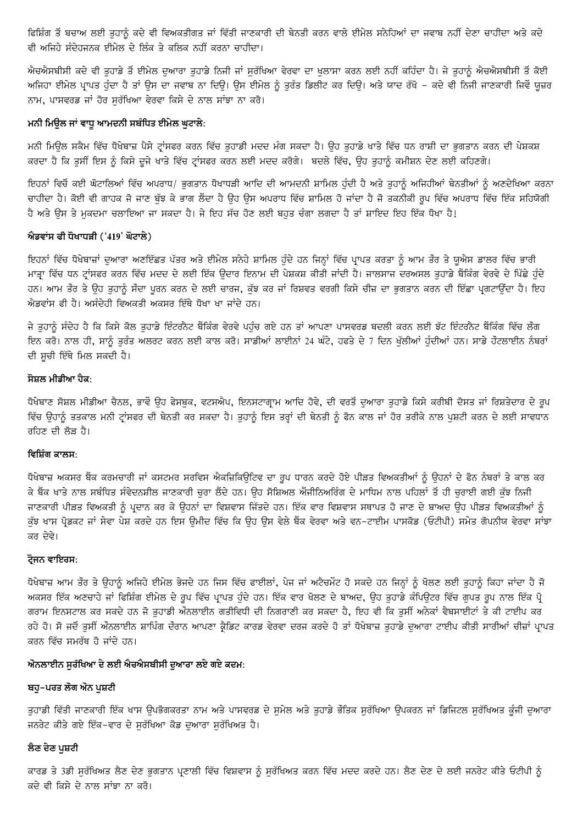ਫਿਸ਼ਿੰਗ ਤੋਂ ਬਚਾਅ ਲਈ ਤੁਹਾਨੂੰ ਕਦੇ ਵੀ ਵਿਅਕਤੀਗਤ ਜਾਂ ਵਿੱਤੀ ਜਾਣਕਾਰੀ ਦੀ ਬੇਨਤੀ ਕਰਨ ਵਾਲੇ ਈਮੇਲ ਸਨੇਹਿਆਂ ਦਾ ਜਵਾਬ ਨਹੀਂ ਦੇਣਾ ਚਾਹੀਦਾ ਅਤੇ ਕਦੇ ਵੀ ਅਜਿਹੇ ਸੰਦੇਹਜਨਕ ਈਮੇਲ ਦੇ ਲਿੰਕ ਤੇ ਕਲਿਕ ਨਹੀਂ ਕਰਨਾ ਚਾਹੀਦਾ।

ਐਚਐਸਬੀਸੀ ਕਦੇ ਵੀ ਤਹਾਡੇ ਤੋਂ ਈਮੇਲ ਦਆਰਾ ਤਹਾਡੇ ਨਿਜੀ ਜਾਂ ਸਰੱਖਿਆ ਵੇਰਵਾ ਦਾ ਖਲਾਸਾ ਕਰਨ ਲਈ ਨਹੀਂ ਕਹਿੰਦਾ ਹੈ। ਜੇ ਤਹਾਨੂੰ ਐਚਐਸਬੀਸੀ ਤੋਂ ਕੋਈ ਅਜਿਹਾ ਈਮੇਲ ਪ੍ਰਾਪਤ ਹੰਦਾ ਹੈ ਤਾਂ ਉਸ ਦਾ ਜਵਾਬ ਨਾ ਦਿਉ। ਉਸ ਈਮੇਲ ਨੂੰ ਤਰੰਤ ਡਿਲੀਟ ਕਰ ਦਿਉ। ਅਤੇ ਯਾਦ ਰੱਖੋ – ਕਦੇ ਵੀ ਨਿਜੀ ਜਾਣਕਾਰੀ ਜਿਵੇਂ ਯੂਜ਼ਰ ਨਾਮ, ਪਾਸਵਰਡ ਜਾਂ ਹੋਰ ਸੁਰੱਖਿਆ ਵੇਰਵਾ ਕਿਸੇ ਦੇ ਨਾਲ ਸਾਂਝਾ ਨਾ ਕਰੋ।

# ਮਨੀ ਮਿਉਲ ਜਾਂ ਵਾਧੂ ਆਮਦਨੀ ਸਬੰਧਿਤ ਈਮੇਲ ਘੁਟਾਲੇ:

ਮਨੀ ਮਿੳਲ ਸਕੈਮ ਵਿੱਚ ਧੋਖੇਬਾਜ਼ ਪੈਸੇ ਟ੍ਰਾਂਸਫਰ ਕਰਨ ਵਿੱਚ ਤਹਾਡੀ ਮਦਦ ਮੰਗ ਸਕਦਾ ਹੈ। ੳਹ ਤਹਾਡੇ ਖਾਤੇ ਵਿੱਚ ਧਨ ਰਾਸ਼ੀ ਦਾ ਭਗਤਾਨ ਕਰਨ ਦੀ ਪੇਸ਼ਕਸ਼ ਕਰਦਾ ਹੈ ਕਿ ਤਸੀਂ ਇਸ ਨੂੰ ਕਿਸੇ ਦੂਜੇ ਖਾਤੇ ਵਿੱਚ ਟ੍ਰਾਂਸਫਰ ਕਰਨ ਲਈ ਮਦਦ ਕਰੋਗੇ। ਬਦਲੇ ਵਿੱਚ, ਉਹ ਤਹਾਨੂੰ ਕਮੀਸ਼ਨ ਦੇਣ ਲਈ ਕਹਿਣਗੇ।

ਇਹਨਾਂ ਵਿਚੋਂ ਕਈ ਘੋਟਾਲਿਆਂ ਵਿੱਚ ਅਪਰਾਧ/ ਭੁਗਤਾਨ ਧੋਖਾਧੜੀ ਆਦਿ ਦੀ ਆਮਦਨੀ ਸ਼ਾਮਿਲ ਹੁੰਦੀ ਹੈ ਅਤੇ ਤੁਹਾਨੂੰ ਅਜਿਹੀਆਂ ਬੇਨਤੀਆਂ ਨੂੰ ਅਣਦੇਖਿਆ ਕਰਨਾ ਚਾਹੀਦਾ ਹੈ। ਕੋਈ ਵੀ ਗਾਹਕ ਜੋ ਜਾਣ ਬੱਝ ਕੇ ਭਾਗ ਲੈਂਦਾ ਹੈ ਉਹ ਉਸ ਅਪਰਾਧ ਵਿੱਚ ਸ਼ਾਮਿਲ ਹੋ ਜਾਂਦਾ ਹੈ ਜੋ ਤਕਨੀਕੀ ਰੂਪ ਵਿੱਚ ਅਪਰਾਧ ਵਿੱਚ ਇੱਕ ਸਹਿਯੋਗੀ ਹੈ ਅਤੇ ਉਸ ਤੇ ਮਕਦਮਾ ਚਲਾਇਆ ਜਾ ਸਕਦਾ ਹੈ। ਜੇ ਇਹ ਸੱਚ ਹੋਣ ਲਈ ਬਹੁਤ ਚੰਗਾ ਲਗਦਾ ਹੈ ਤਾਂ ਸ਼ਾਇਦ ਇਹ ਇੱਕ ਧੋਖਾ ਹੈ!

## ਐਡਵਾਂਸ ਫੀ ਧੋਖਾਧੜੀ ('419' ਘੋਟਾਲੇ)

ਇਹਨਾਂ ਵਿੱਚ ਧੋਖੇਬਾਜ਼ਾਂ ਦੁਆਰਾ ਅਣਇੱਛਤ ਪੱਤਰ ਅਤੇ ਈਮੇਲ ਸਨੇਹੇ ਸ਼ਾਮਿਲ ਹੁੰਦੇ ਹਨ ਜਿਨ੍ਹਾਂ ਵਿੱਚ ਪ੍ਰਾਪਤ ਕਰਤਾ ਨੂੰ ਆਮ ਤੌਰ ਤੇ ਯੂਐਸ ਡਾਲਰ ਵਿੱਚ ਭਾਰੀ ਮਾਤ੍ਰਾ ਵਿੱਚ ਧਨ ਟ੍ਰਾਂਸਫਰ ਕਰਨ ਵਿੱਚ ਮਦਦ ਦੇ ਲਈ ਇੱਕ ਉਦਾਰ ਇਨਾਮ ਦੀ ਪੇਸ਼ਕਸ਼ ਕੀਤੀ ਜਾਂਦੀ ਹੈ। ਜਾਲਸਾਜ ਦਰਅਸਲ ਤਹਾਡੇ ਬੈਂਕਿੰਗ ਵੇਰਵੇ ਦੇ ਪਿੱਛੇ ਹੰਦੇ ਹਨ। ਆਮ ਤੌਰ ਤੇ ਉਹ ਤੁਹਾਨੂੰ ਸੌਦਾ ਪੂਰਨ ਕਰਨ ਦੇ ਲਈ ਚਾਰਜ, ਕੁੱਝ ਕਰ ਜਾਂ ਰਿਸ਼ਵਤ ਵਰਗੀ ਕਿਸੇ ਚੀਜ਼ ਦਾ ਭੁਗਤਾਨ ਕਰਨ ਦੀ ਇੱਛਾ ਪ੍ਰਗਟਾਉਂਦਾ ਹੈ। ਇਹ ਐਡਵਾਂਸ ਫੀ ਹੈ। ਅਸੰਦੇਹੀ ਵਿਅਕਤੀ ਅਕਸਰ ਇੱਥੇ ਧੋਖਾ ਖਾ ਜਾਂਦੇ ਹਨ।

ਜੇ ਤਹਾਨੂੰ ਸੰਦੇਹ ਹੈ ਕਿ ਕਿਸੇ ਕੋਲ ਤਹਾਡੇ ਇੰਟਰਨੈਟ ਬੈਂਕਿੰਗ ਵੇਰਵੇ ਪਹੰਚ ਗਏ ਹਨ ਤਾਂ ਆਪਣਾ ਪਾਸਵਰਡ ਬਦਲੀ ਕਰਨ ਲਈ ਝੱਟ ਇੰਟਰਨੈਟ ਬੈਂਕਿੰਗ ਵਿੱਚ ਲੌਗ .<br>ਇਨ ਕਰੋ। ਨਾਲ ਹੀ, ਸਾਨੂੰ ਤੁਰੰਤ ਅਲਰਟ ਕਰਨ ਲਈ ਕਾਲ ਕਰੋ। ਸਾਡੀਆਂ ਲਾਈਨਾਂ 24 ਘੰਟੇ, ਹਫਤੇ ਦੇ 7 ਦਿਨ ਖੁੱਲੀਆਂ ਹੁੰਦੀਆਂ ਹਨ। ਸਾਡੇ ਹੌਟਲਾਈਨ ਨੰਬਰਾਂ ਦੀ ਸੂਚੀ ਇੱਥੇ ਮਿਲ ਸਕਦੀ ਹੈ।

#### ਸੋਸ਼ਲ ਮੀਡੀਆ ਹੈਕ:

ਧੋਖੇਬਾਣ ਸੋਸ਼ਲ ਮੀਡੀਆ ਚੈਨਲ, ਭਾਵੇਂ ੳਹ ਫੇਸਬਕ, ਵਟਸਐਪ, ਇਨਸਟਾਗ੍ਰਾਮ ਆਦਿ ਹੋਵੇ, ਦੀ ਵਰਤੋਂ ਦਆਰਾ ਤਹਾਡੇ ਕਿਸੇ ਕਰੀਬੀ ਦੋਸਤ ਜਾਂ ਰਿਸ਼ਤੇਦਾਰ ਦੇ ਰੂਪ ਵਿੱਚ ਉਹਾਨੂੰ ਤਤਕਾਲ ਮਨੀ ਟ੍ਰਾਂਸਫਰ ਦੀ ਬੇਨਤੀ ਕਰ ਸਕਦਾ ਹੈ। ਤੁਹਾਨੂੰ ਇਸ ਤਰ੍ਹਾਂ ਦੀ ਬੇਨਤੀ ਨੂੰ ਫੋਨ ਕਾਲ ਜਾਂ ਹੋਰ ਤਰੀਕੇ ਨਾਲ ਪੁਸ਼ਟੀ ਕਰਨ ਦੇ ਲਈ ਸਾਵਧਾਨ ਰਹਿਣ ਦੀ ਲੋੜ ਹੈ।

## ਵਿਸ਼ਿੰਗ ਕਾਲਸ:

ਧੋਖੇਬਾਜ਼ ਅਕਸਰ ਬੈਂਕ ਕਰਮਚਾਰੀ ਜਾਂ ਕਸਟਮਰ ਸਰਵਿਸ ਐਕਜ਼ਿਕਿੳਟਿਵ ਦਾ ਰੂਪ ਧਾਰਨ ਕਰਦੇ ਹੋਏ ਪੀੜਤ ਵਿਅਕਤੀਆਂ ਨੂੰ ੳਹਨਾਂ ਦੇ ਫੋਨ ਨੰਬਰਾਂ ਤੇ ਕਾਲ ਕਰ ਕੇ ਬੈਂਕ ਖਾਤੇ ਨਾਲ ਸਬੰਧਿਤ ਸੰਵੇਦਨਸ਼ੀਲ ਜਾਣਕਾਰੀ ਚਰਾ ਲੈਂਦੇ ਹਨ। ਉਹ ਸੋਸ਼ਿਅਲ ਐਂਜੀਨਿਅਰਿੰਗ ਦੇ ਮਾਧਿਮ ਨਾਲ ਪਹਿਲਾਂ ਤੋਂ ਹੀ ਚਰਾਈ ਗਈ ਕੱਝ ਨਿਜੀ ਜਾਣਕਾਰੀ ਪੀੜਤ ਵਿਅਕਤੀ ਨੂੰ ਪ੍ਰਦਾਨ ਕਰ ਕੇ ਉਹਨਾਂ ਦਾ ਵਿਸ਼ਵਾਸ ਜਿੱਤਦੇ ਹਨ। ਇੱਕ ਵਾਰ ਵਿਸ਼ਵਾਸ ਸਥਾਪਤ ਹੋ ਜਾਣ ਦੇ ਬਾਅਦ ਉਹ ਪੀੜਤ ਵਿਅਕਤੀਆਂ ਨੂੰ ਕੁੱਝ ਖਾਸ ਪ੍ਰੋਡਕਟ ਜਾਂ ਸੇਵਾ ਪੇਸ਼ ਕਰਦੇ ਹਨ ਇਸ ਉਮੀਦ ਵਿੱਚ ਕਿ ਉਹ ਉਸ ਵੇਲੇ ਬੈਂਕ ਵੇਰਵਾ ਅਤੇ ਵਨ-ਟਾਈਮ ਪਾਸਕੋਡ (ਓਟੀਪੀ) ਸਮੇਤ ਗੋਪਨੀਯ ਵੇਰਵਾ ਸਾਂਝਾ ਕਰ ਦੇਵੇ।

## ਟ੍ਰੋਜਨ ਵਾਇਰਸ:

ਧੋਖੇਬਾਜ਼ ਆਮ ਤੌਰ ਤੇ ਉਹਾਨੂੰ ਅਜਿਹੇ ਈਮੇਲ ਭੇਜਦੇ ਹਨ ਜਿਸ ਵਿੱਚ ਫਾਈਲਾਂ, ਪੇਜ ਜਾਂ ਅਟੈਚਮੇਂਟ ਹੋ ਸਕਦੇ ਹਨ ਜਿਨ੍ਹਾਂ ਨੂੰ ਖੋਲਣ ਲਈ ਤੁਹਾਨੂੰ ਕਿਹਾ ਜਾਂਦਾ ਹੈ ਜੋ ਅਕਸਰ ਇੱਕ ਅਣਚਾਹੇ ਜਾਂ ਫਿਸ਼ਿੰਗ ਈਮੇਲ ਦੇ ਰੂਪ ਵਿੱਚ ਪ੍ਰਾਪਤ ਹੁੰਦੇ ਹਨ। ਇੱਕ ਵਾਰ ਖੋਲਣ ਦੇ ਬਾਅਦ, ਉਹ ਤੁਹਾਡੇ ਕੰਪਿਊਟਰ ਵਿੱਚ ਗੁਪਤ ਰੂਪ ਨਾਲ ਇੱਕ ਪ੍ਰੋ ਗਰਾਮ ਇਨਸਟਾਲ ਕਰ ਸਕਦੇ ਹਨ ਜੋ ਤੁਹਾਡੀ ਔਨਲਾਈਨ ਗਤੀਵਿਧੀ ਦੀ ਨਿਗਰਾਣੀ ਕਰ ਸਕਦਾ ਹੈ, ਇਹ ਵੀ ਕਿ ਤੁਸੀਂ ਅਨੇਕਾਂ ਵੈਬਸਾਈਟਾਂ ਤੇ ਕੀ ਟਾਈਪ ਕਰ ਰਹੇ ਹੋ। ਸੋ ਜਦੋਂ ਤੁਸੀਂ ਔਨਲਾਈਨ ਸ਼ਾਪਿੰਗ ਦੌਰਾਨ ਆਪਣਾ ਕ੍ਰੈਡਿਟ ਕਾਰਡ ਵੇਰਵਾ ਦਰਜ ਕਰਦੇ ਹੋ ਤਾਂ ਧੋਖੇਬਾਜ਼ ਤੁਹਾਡੇ ਦੁਆਰਾ ਟਾਈਪ ਕੀਤੀ ਸਾਰੀਆਂ ਚੀਜ਼ਾਂ ਪ੍ਰਾਪਤ ਕਰਨ ਵਿੱਚ ਸਮਰੱਥ ਹੋ ਜਾਂਦੇ ਹਨ।

## ਔਨਲਾਈਨ ਸੁਰੱਖਿਆ ਦੇ ਲਈ ਐਚਐਸਬੀਸੀ ਦੁਆਰਾ ਲਏ ਗਏ ਕਦਮ:

## ਬਹ−ਪਰਤ ਲੌਗ ਔਨ ਪਸ਼ਟੀ

ਤੁਹਾਡੀ ਵਿੱਤੀ ਜਾਣਕਾਰੀ ਇੱਕ ਖਾਸ ਉਪਭੋਗਕਰਤਾ ਨਾਮ ਅਤੇ ਪਾਸਵਰਡ ਦੇ ਸੁਮੇਲ ਅਤੇ ਤੁਹਾਡੇ ਭੌਤਿਕ ਸੁਰੱਖਿਆ ਉਪਕਰਨ ਜਾਂ ਡਿਜਿਟਲ ਸੁਰੱਖਿਅਤ ਕੂੰਜੀ ਦੁਆਰਾ ਜਨਰੇਟ ਕੀਤੇ ਗਏ ਇੱਕ-ਵਾਰ ਦੇ ਸੁਰੱਖਿਆ ਕੋਡ ਦੁਆਰਾ ਸੁਰੱਖਿਅਤ ਹੈ।

## ਲੈਣ ਦੇਣ ਪੁਸ਼ਟੀ

ਕਾਰਡ ਤੇ 3ਡੀ ਸੁਰੱਖਿਅਤ ਲੈਣ ਦੇਣ ਭੁਗਤਾਨ ਪ੍ਰਣਾਲੀ ਵਿੱਚ ਵਿਸ਼ਵਾਸ ਨੂੰ ਸੁਰੱਖਿਅਤ ਕਰਨ ਵਿੱਚ ਮਦਦ ਕਰਦੇ ਹਨ। ਲੈਣ ਦੇਣ ਦੇ ਲਈ ਜਨਰੇਟ ਕੀਤੇ ਓਟੀਪੀ ਨੂੰ ਕਦੇ ਵੀ ਕਿਸੇ ਦੇ ਨਾਲ ਸਾਂਝਾ ਨਾ ਕਰੋ।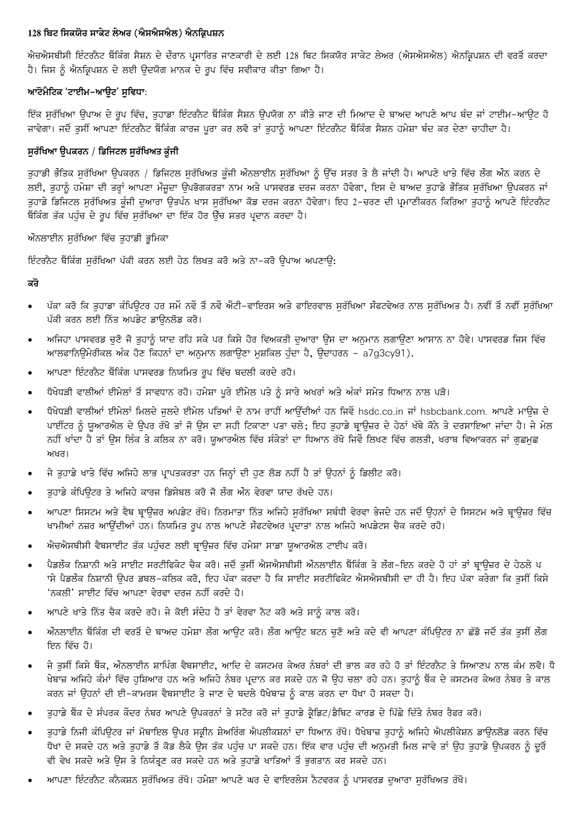## 128 ਬਿਟ ਸਿਕਯੋਰ ਸਾਕੇਟ ਲੇਅਰ (ਐਸਐਸਐਲ) ਐਨਕ੍ਰਿਪਸ਼ਨ

ਐਚਐਸਬੀਸੀ ਇੰਟਰਨੈਟ ਬੈਂਕਿੰਗ ਸੈਸ਼ਨ ਦੇ ਦੌਰਾਨ ਪਸਾਰਿਤ ਜਾਣਕਾਰੀ ਦੇ ਲਈ 128 ਬਿਟ ਸਿਕਯੋਰ ਸਾਕੇਟ ਲੇਅਰ (ਐਸਐਸਐਲ) ਐਨਕ੍ਰਿਪਸ਼ਨ ਦੀ ਵਰਤੋਂ ਕਰਦਾ ਹੈ। ਜਿਸ ਨੂੰ ਐਨਕ੍ਰਿਪਸ਼ਨ ਦੇ ਲਈ ਉਦਯੋਗ ਮਾਨਕ ਦੇ ਰੂਪ ਵਿੱਚ ਸਵੀਕਾਰ ਕੀਤਾ ਗਿਆ ਹੈ।

# ਆਟੋਮੈਟਿਕ 'ਟਾਈਮ-ਆਉਟ' ਸੁਵਿਧਾ:

ਇੱਕ ਸੁਰੱਖਿਆ ਉਪਾਅ ਦੇ ਰੂਪ ਵਿੱਚ, ਤੁਹਾਡਾ ਇੰਟਰਨੈਟ ਬੈਂਕਿੰਗ ਸੈਸ਼ਨ ਉਪਯੋਗ ਨਾ ਕੀਤੇ ਜਾਣ ਦੀ ਮਿਆਦ ਦੇ ਬਾਅਦ ਆਪਣੇ ਆਪ ਬੰਦ ਜਾਂ ਟਾਈਮ-ਆਉਟ ਹੋ ਜਾਵੇਗਾ। ਜਦੋਂ ਤਸੀਂ ਆਪਣਾ ਇੰਟਰਨੈਟ ਬੈਂਕਿੰਗ ਕਾਰਜ ਪੁਰਾ ਕਰ ਲਵੋ ਤਾਂ ਤਹਾਨੂੰ ਆਪਣਾ ਇੰਟਰਨੈਟ ਬੈਂਕਿੰਗ ਸੈਸ਼ਨ ਹਮੇਸ਼ਾ ਬੰਦ ਕਰ ਦੇਣਾ ਚਾਹੀਦਾ ਹੈ।

# ਸਰੱਖਿਆ ੳਪਕਰਨ / ਡਿਜਿਟਲ ਸਰੱਖਿਅਤ ਕੁੰਜੀ

ਤੁਹਾਡੀ ਭੌਤਿਕ ਸੁਰੱਖਿਆ ਉਪਕਰਨ / ਡਿਜਿਟਲ ਸੁਰੱਖਿਅਤ ਕੂੰਜੀ ਔਨਲਾਈਨ ਸੁਰੱਖਿਆ ਨੂੰ ਉੱਚ ਸਤਰ ਤੇ ਲੈ ਜਾਂਦੀ ਹੈ। ਆਪਣੇ ਖਾਤੇ ਵਿੱਚ ਲੌਗ ਔਨ ਕਰਨ ਦੇ ਲਈ, ਤੁਹਾਨੂੰ ਹਮੇਸ਼ਾ ਦੀ ਤਰ੍ਹਾਂ ਆਪਣਾ ਮੌਜੂਦਾ ਉਪਭੋਗਕਰਤਾ ਨਾਮ ਅਤੇ ਪਾਸਵਰਡ ਦਰਜ ਕਰਨਾ ਹੋਵੇਗਾ, ਇਸ ਦੇ ਬਾਅਦ ਤੁਹਾਡੇ ਭੌਤਿਕ ਸੁਰੱਖਿਆ ਉਪਕਰਨ ਜਾਂ ਤਹਾਡੇ ਡਿਜਿਟਲ ਸਰੱਖਿਅਤ ਕੁੰਜੀ ਦਆਰਾ ਉਤਪੰਨ ਖਾਸ ਸਰੱਖਿਆ ਕੋਡ ਦਰਜ ਕਰਨਾ ਹੋਵੇਗਾ। ਇਹ 2-ਚਰਣ ਦੀ ਪ੍ਰਮਾਣੀਕਰਨ ਕਿਰਿਆ ਤਹਾਨੂੰ ਆਪਣੇ ਇੰਟਰਨੈਟ ਬੈਂਕਿੰਗ ਤੱਕ ਪਹੁੰਚ ਦੇ ਰੂਪ ਵਿੱਚ ਸੁਰੱਖਿਆ ਦਾ ਇੱਕ ਹੋਰ ਉੱਚ ਸਤਰ ਪ੍ਰਦਾਨ ਕਰਦਾ ਹੈ।

ਔਨਲਾਈਨ ਸਰੱਖਿਆ ਵਿੱਚ ਤਹਾਡੀ ਭੂਮਿਕਾ

ਇੰਟਰਨੈਟ ਬੈਂਕਿੰਗ ਸਰੱਖਿਆ ਪੱਕੀ ਕਰਨ ਲਈ ਹੇਠ ਲਿਖਤ ਕਰੋ ਅਤੇ ਨਾ-ਕਰੋ ੳਪਾਅ ਅਪਣਾੳ:

# ਕਰੋ

- ਪੱਕਾ ਕਰੋ ਕਿ ਤਹਾਡਾ ਕੰਪਿਊਟਰ ਹਰ ਸਮੇਂ ਨਵੇਂ ਤੋਂ ਨਵੇਂ ਐਂਟੀ-ਵਾਇਰਸ ਅਤੇ ਫਾਇਰਵਾਲ ਸਰੱਖਿਆ ਸੌਫਟਵੇਅਰ ਨਾਲ ਸਰੱਖਿਅਤ ਹੈ। ਨਵੀਂ ਤੋਂ ਨਵੀਂ ਸਰੱਖਿਆ ਪੱਕੀ ਕਰਨ ਲਈ ਨਿੱਤ ਅਪਡੇਟ ਡਾਊਨਲੋਡ ਕਰੋ।
- ਅਜਿਹਾ ਪਾਸਵਰਡ ਚਣੋ ਜੋ ਤਹਾਨੂੰ ਯਾਦ ਰਹਿ ਸਕੇ ਪਰ ਕਿਸੇ ਹੋਰ ਵਿਅਕਤੀ ਦਆਰਾ ਉਸ ਦਾ ਅਨੁਮਾਨ ਲਗਾਉਣਾ ਆਸਾਨ ਨਾ ਹੋਵੇ। ਪਾਸਵਰਡ ਜਿਸ ਵਿੱਚ ਆਲਫਾਨਿਊਮੇਰੀਕਲ ਅੰਕ ਹੋਣ ਕਿਹਨਾਂ ਦਾ ਅਨੁਮਾਨ ਲਗਾਉਣਾ ਮੁਸ਼ਕਿਲ ਹੁੰਦਾ ਹੈ, ਉਦਾਹਰਨ – a7g3cy91).
- ਆਪਣਾ ਇੰਟਰਨੈਟ ਬੈਂਕਿੰਗ ਪਾਸਵਰਡ ਨਿਯਮਿਤ ਰੂਪ ਵਿੱਚ ਬਦਲੀ ਕਰਦੇ ਰਹੋ।
- ਧੋਖੇਧੜੀ ਵਾਲੀਆਂ ਈਮੇਲਾਂ ਤੋਂ ਸਾਵਧਾਨ ਰਹੋ। ਹਮੇਸ਼ਾ ਪੂਰੇ ਈਮੇਲ ਪਤੇ ਨੂੰ ਸਾਰੇ ਅਖਰਾਂ ਅਤੇ ਅੰਕਾਂ ਸਮੇਤ ਧਿਆਨ ਨਾਲ ਪੜੋ।
- ਧੋਖੇਧੜੀ ਵਾਲੀਆਂ ਈਮੇਲਾਂ ਮਿਲਦੇ ਜਲਦੇ ਈਮੇਲ ਪਤਿਆਂ ਦੇ ਨਾਮ ਰਾਹੀਂ ਆਉਂਦੀਆਂ ਹਨ ਜਿਵੇਂ hsdc.co.in ਜਾਂ hsbcbank.com. ਆਪਣੇ ਮਾਊਜ਼ ਦੇ ਪਾਈਂਟਰ ਨੂੰ ਯੁਆਰਐਲ ਦੇ ਉਪਰ ਰੱਖੋ ਤਾਂ ਜੋ ਉਸ ਦਾ ਸਹੀ ਟਿਕਾਣਾ ਪਤਾ ਚਲੇ; ਇਹ ਤਹਾਡੇ ਬ੍ਰਾਊਜ਼ਰ ਦੇ ਹੇਠਾਂ ਖੱਬੇ ਕੋਨੇ ਤੇ ਦਰਸਾਇਆ ਜਾਂਦਾ ਹੈ। ਜੇ ਮੇਲ ਨਹੀਂ ਖਾਂਦਾ ਹੈ ਤਾਂ ਉਸ ਲਿੰਕ ਤੇ ਕਲਿਕ ਨਾ ਕਰੋ। ਯੁਆਰਐਲ ਵਿੱਚ ਸੰਕੇਤਾਂ ਦਾ ਧਿਆਨ ਰੱਖੋ ਜਿਵੇਂ ਲਿਖਣ ਵਿੱਚ ਗਲਤੀ, ਖਰਾਬ ਵਿਆਕਰਨ ਜਾਂ ਗੁਛਮੁਛ ਅਖਰ।
- ਜੇ ਤੁਹਾਡੇ ਖਾਤੇ ਵਿੱਚ ਅਜਿਹੇ ਲਾਭ ਪ੍ਰਾਪਤਕਰਤਾ ਹਨ ਜਿਨ੍ਹਾਂ ਦੀ ਹੁਣ ਲੋੜ ਨਹੀਂ ਹੈ ਤਾਂ ਉਹਨਾਂ ਨੂੰ ਡਿਲੀਟ ਕਰੋ।
- ਤਹਾਡੇ ਕੰਪਿਊਟਰ ਤੇ ਅਜਿਹੇ ਕਾਰਜ ਡਿਸੇਬਲ ਕਰੋ ਜੋ ਲੌਗ ਔਨ ਵੇਰਵਾ ਯਾਦ ਰੱਖਦੇ ਹਨ।
- ਆਪਣਾ ਸਿਸਟਮ ਅਤੇ ਵੈਬ ਬ੍ਰਾਊਜ਼ਰ ਅਪਡੇਟ ਰੱਖੋ। ਨਿਰਮਾਤਾ ਨਿੱਤ ਅਜਿਹੇ ਸੁਰੱਖਿਆ ਸਬੰਧੀ ਵੇਰਵਾ ਭੇਜਦੇ ਹਨ ਜਦੋਂ ਉਹਨਾਂ ਦੇ ਸਿਸਟਮ ਅਤੇ ਬ੍ਰਾਊਜ਼ਰ ਵਿੱਚ ਖਾਮੀਆਂ ਨਜ਼ਰ ਆਉਂਦੀਆਂ ਹਨ। ਨਿਯਮਿਤ ਰੂਪ ਨਾਲ ਆਪਣੇ ਸੌਫਟਵੇਅਰ ਪ੍ਰਦਾਤਾ ਨਾਲ ਅਜਿਹੇ ਅਪਡੇਟਸ ਚੈਕ ਕਰਦੇ ਰਹੋ।
- ਐਚਐਸਬੀਸੀ ਵੈਬਸਾਈਟ ਤੱਕ ਪਹੰਚਣ ਲਈ ਬ੍ਰਾੳਜ਼ਰ ਵਿੱਚ ਹਮੇਸ਼ਾ ਸਾਡਾ ਯੁਆਰਐਲ ਟਾਈਪ ਕਰੋ।
- ਪੈਡਲੌਕ ਨਿਸ਼ਾਨੀ ਅਤੇ ਸਾਈਟ ਸਰਟੀਫਿਕੇਟ ਚੈਕ ਕਰੋ। ਜਦੋਂ ਤੁਸੀਂ ਐਸਐਸਬੀਸੀ ਔਨਲਾਈਨ ਬੈਂਕਿੰਗ ਤੇ ਲੌਗ–ਇਨ ਕਰਦੇ ਹੋ ਹਾਂ ਤਾਂ ਬ੍ਰਾਉਜ਼ਰ ਦੇ ਹੇਠਲੇ ਪ ਾਸੇ ਪੈਡਲੌਕ ਨਿਸ਼ਾਨੀ ਉਪਰ ਡਬਲ–ਕਲਿਕ ਕਰੋ, ਇਹ ਪੱਕਾ ਕਰਦਾ ਹੈ ਕਿ ਸਾਈਟ ਸਰਟੀਫਿਕੇਟ ਐਸਐਸਬੀਸੀ ਦਾ ਹੀ ਹੈ। ਇਹ ਪੱਕਾ ਕਰੇਗਾ ਕਿ ਤਸੀਂ ਕਿਸੇ 'ਨਕਲੀ' ਸਾਈਟ ਵਿੱਚ ਆਪਣਾ ਵੇਰਵਾ ਦਰਜ ਨਹੀਂ ਕਰਦੇ ਹੋ।
- ਆਪਣੇ ਖਾਤੇ ਨਿੱਤ ਚੈਕ ਕਰਦੇ ਰਹੋ। ਜੇ ਕੋਈ ਸੰਦੇਹ ਹੈ ਤਾਂ ਵੇਰਵਾ ਨੋਟ ਕਰੋ ਅਤੇ ਸਾਨੂੰ ਕਾਲ ਕਰੋ।
- ਔਨਲਾਈਨ ਬੈਂਕਿੰਗ ਦੀ ਵਰਤੋਂ ਦੇ ਬਾਅਦ ਹਮੇਸ਼ਾ ਲੌਗ ਆਉਟ ਕਰੋ। ਲੌਗ ਆਉਟ ਬਟਨ ਚਣੋ ਅਤੇ ਕਦੇ ਵੀ ਆਪਣਾ ਕੰਪਿਊਟਰ ਨਾ ਛੱਡੋ ਜਦੋਂ ਤੱਕ ਤਸੀਂ ਲੌਗ ਇਨ ਵਿੱਚ ਹੋ।
- ਜੇ ਤੁਸੀਂ ਕਿਸੇ ਬੈਂਕ, ਔਨਲਾਈਨ ਸ਼ਾਪਿੰਗ ਵੈਬਸਾਈਟ, ਆਦਿ ਦੇ ਕਸਟਮਰ ਕੇਅਰ ਨੰਬਰਾਂ ਦੀ ਭਾਲ ਕਰ ਰਹੇ ਹੋ ਤਾਂ ਇੰਟਰਨੈਟ ਤੇ ਸਿਆਣਪ ਨਾਲ ਕੰਮ ਲਵੋ। ਧੋ ਖੇਬਾਜ਼ ਅਜਿਹੇ ਕੰਮਾਂ ਵਿੱਚ ਹੁਸ਼ਿਆਰ ਹਨ ਅਤੇ ਅਜਿਹੇ ਨੰਬਰ ਪ੍ਰਦਾਨ ਕਰ ਸਕਦੇ ਹਨ ਜੋ ਉਹ ਚਲਾ ਰਹੇ ਹਨ। ਤੁਹਾਨੂੰ ਬੈਂਕ ਦੇ ਕਸਟਮਰ ਕੇਅਰ ਨੰਬਰ ਤੇ ਕਾਲ ਕਰਨ ਜਾਂ ਉਹਨਾਂ ਦੀ ਈ-ਕਾਮਰਸ ਵੈਬਸਾਈਟ ਤੇ ਜਾਣ ਦੇ ਬਦਲੇ ਧੋਖੇਬਾਜ਼ ਨੂੰ ਕਾਲ ਕਰਨ ਦਾ ਧੋਖਾ ਹੋ ਸਕਦਾ ਹੈ।
- ਤਹਾਡੇ ਬੈਂਕ ਦੇ ਸੰਪਰਕ ਕੇਂਦਰ ਨੰਬਰ ਆਪਣੇ ਉਪਕਰਨਾਂ ਤੇ ਸਟੋਰ ਕਰੋ ਜਾਂ ਤਹਾਡੇ ਕ੍ਰੈਡਿਟ/ਡੈਬਿਟ ਕਾਰਡ ਦੇ ਪਿੱਛੇ ਦਿੱਤੇ ਨੰਬਰ ਰੈਫਰ ਕਰੋ।
- ਤੁਹਾਡੇ ਨਿਜੀ ਕੰਪਿਉਟਰ ਜਾਂ ਮੋਬਾਇਲ ਉਪਰ ਸਕ੍ਰੀਨ ਸ਼ੇਅਰਿੰਗ ਐਪਲੀਕਸ਼ਨਾਂ ਦਾ ਧਿਆਨ ਰੱਖੋ। ਧੋਖੇਬਾਜ਼ ਤੁਹਾਨੂੰ ਅਜਿਹੇ ਐਪਲੀਕੇਸ਼ਨ ਡਾਉਨਲੋਡ ਕਰਨ ਵਿੱਚ ਧੋਖਾ ਦੇ ਸਕਦੇ ਹਨ ਅਤੇ ਤਹਾਡੇ ਤੋਂ ਕੋਡ ਲੈਕੇ ਉਸ ਤੱਕ ਪਹੰਚ ਪਾ ਸਕਦੇ ਹਨ। ਇੱਕ ਵਾਰ ਪਹੰਚ ਦੀ ਅਨਮਤੀ ਮਿਲ ਜਾਵੇ ਤਾਂ ਉਹ ਤਹਾਡੇ ਉਪਕਰਨ ਨੂੰ ਦੂਰੋਂ ਵੀ ਵੇਖ ਸਕਦੇ ਅਤੇ ਉਸ ਤੇ ਨਿਯੰਤ੍ਰਣ ਕਰ ਸਕਦੇ ਹਨ ਅਤੇ ਤਹਾਡੇ ਖਾਤਿਆਂ ਤੋਂ ਭਗਤਾਨ ਕਰ ਸਕਦੇ ਹਨ।
- ਆਪਣਾ ਇੰਟਰਨੈਟ ਕਨੈਕਸ਼ਨ ਸਰੱਖਿਅਤ ਰੱਖੋ। ਹਮੇਸ਼ਾ ਆਪਣੇ ਘਰ ਦੇ ਵਾਇਰਲੇਸ ਨੈਟਵਰਕ ਨੂੰ ਪਾਸਵਰਡ ਦਆਰਾ ਸਰੱਖਿਅਤ ਰੱਖੋ।